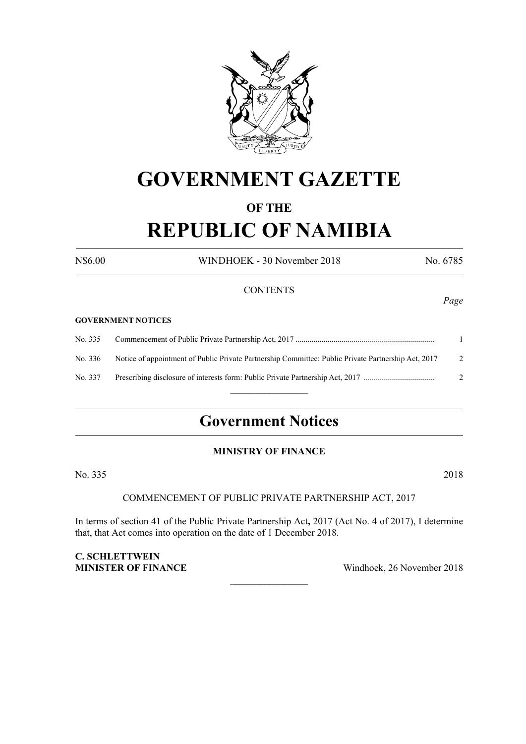

# **GOVERNMENT GAZETTE**

# **OF THE**

# **REPUBLIC OF NAMIBIA**

N\$6.00 WINDHOEK - 30 November 2018 No. 6785

#### **CONTENTS**

#### **GOVERNMENT NOTICES**

No. 335 Commencement of Public Private Partnership Act, 2017 ...................................................................... 1 No. 336 Notice of appointment of Public Private Partnership Committee: Public Private Partnership Act, 2017 2 No. 337 Prescribing disclosure of interests form: Public Private Partnership Act, 2017 .................................... 2  $\frac{1}{2}$ 

# **Government Notices**

#### **MINISTRY OF FINANCE**

No. 335 2018

# COMMENCEMENT OF PUBLIC PRIVATE PARTNERSHIP ACT, 2017

In terms of section 41 of the Public Private Partnership Act**,** 2017 (Act No. 4 of 2017), I determine that, that Act comes into operation on the date of 1 December 2018.

 $\overline{\phantom{a}}$  , where  $\overline{\phantom{a}}$ 

**C. SCHLETTWEIN**

**MINISTER OF FINANCE** Windhoek, 26 November 2018

#### *Page*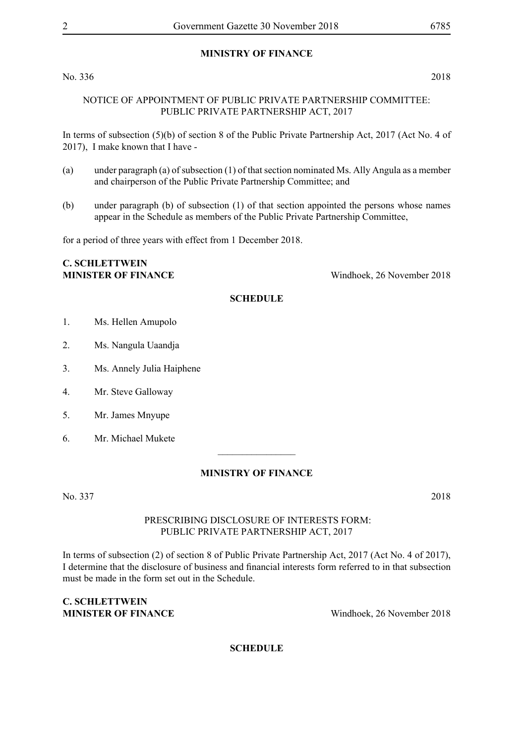# **MINISTRY OF FINANCE**

No. 336 2018

#### NOTICE OF APPOINTMENT OF PUBLIC PRIVATE PARTNERSHIP COMMITTEE: PUBLIC PRIVATE PARTNERSHIP ACT, 2017

In terms of subsection (5)(b) of section 8 of the Public Private Partnership Act, 2017 (Act No. 4 of 2017), I make known that I have -

- (a) under paragraph (a) of subsection (1) of that section nominated Ms. Ally Angula as a member and chairperson of the Public Private Partnership Committee; and
- (b) under paragraph (b) of subsection (1) of that section appointed the persons whose names appear in the Schedule as members of the Public Private Partnership Committee,

for a period of three years with effect from 1 December 2018.

# **C. SCHLETTWEIN**

**MINISTER OF FINANCE** Windhoek, 26 November 2018

#### **SCHEDULE**

- 1. Ms. Hellen Amupolo
- 2. Ms. Nangula Uaandja
- 3. Ms. Annely Julia Haiphene
- 4. Mr. Steve Galloway
- 5. Mr. James Mnyupe
- 6. Mr. Michael Mukete

#### **MINISTRY OF FINANCE**

 $\overline{\phantom{a}}$  , where  $\overline{\phantom{a}}$ 

No. 337 2018

#### PRESCRIBING DISCLOSURE OF INTERESTS FORM: PUBLIC PRIVATE PARTNERSHIP ACT, 2017

In terms of subsection (2) of section 8 of Public Private Partnership Act, 2017 (Act No. 4 of 2017), I determine that the disclosure of business and financial interests form referred to in that subsection must be made in the form set out in the Schedule.

#### **C. SCHLETTWEIN MINISTER OF FINANCE** Windhoek, 26 November 2018

# **SCHEDULE**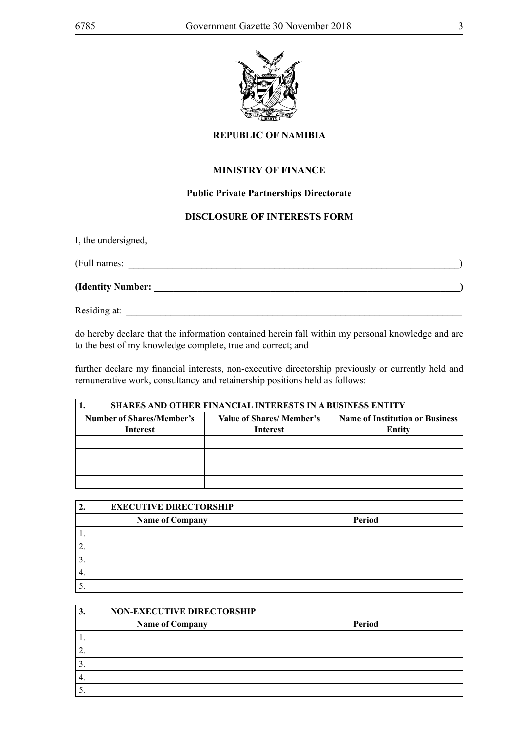

# **REPUBLIC OF NAMIBIA**

### **MINISTRY OF FINANCE**

### **Public Private Partnerships Directorate**

### **DISCLOSURE OF INTERESTS FORM**

I, the undersigned,

| (Full names:      |  |
|-------------------|--|
| (Identity Number: |  |
| Residing at:      |  |

do hereby declare that the information contained herein fall within my personal knowledge and are to the best of my knowledge complete, true and correct; and

further declare my financial interests, non-executive directorship previously or currently held and remunerative work, consultancy and retainership positions held as follows:

| <b>SHARES AND OTHER FINANCIAL INTERESTS IN A BUSINESS ENTITY</b> |                                             |                                                  |
|------------------------------------------------------------------|---------------------------------------------|--------------------------------------------------|
| Number of Shares/Member's<br><b>Interest</b>                     | Value of Shares/Member's<br><b>Interest</b> | <b>Name of Institution or Business</b><br>Entity |
|                                                                  |                                             |                                                  |
|                                                                  |                                             |                                                  |
|                                                                  |                                             |                                                  |
|                                                                  |                                             |                                                  |

| <b>EXECUTIVE DIRECTORSHIP</b> |                 |        |
|-------------------------------|-----------------|--------|
|                               | Name of Company | Period |
| . .                           |                 |        |
|                               |                 |        |
| . ب                           |                 |        |
|                               |                 |        |
|                               |                 |        |

| 3.            | <b>NON-EXECUTIVE DIRECTORSHIP</b> |        |
|---------------|-----------------------------------|--------|
|               | <b>Name of Company</b>            | Period |
|               |                                   |        |
|               |                                   |        |
| $\mathcal{L}$ |                                   |        |
| 4.            |                                   |        |
|               |                                   |        |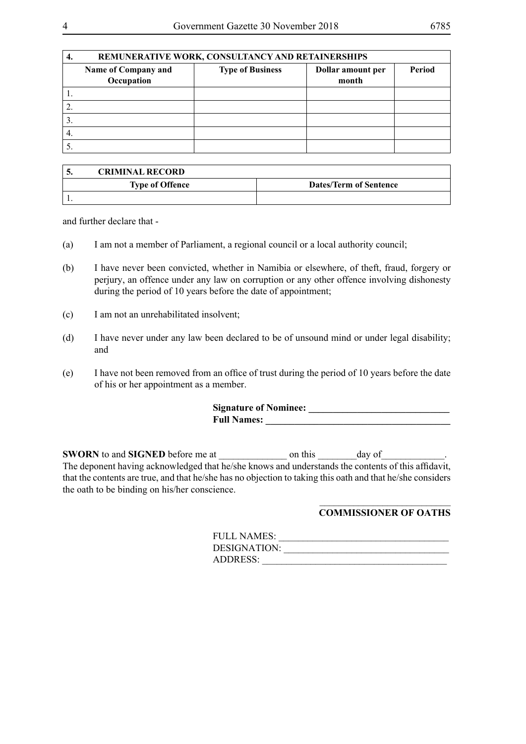| ٠. | REMUNERATIVE WORK, CONSULTANCY AND RETAINERSHIPS |                         |                            |        |
|----|--------------------------------------------------|-------------------------|----------------------------|--------|
|    | Name of Company and<br>Occupation                | <b>Type of Business</b> | Dollar amount per<br>month | Period |
|    |                                                  |                         |                            |        |
|    |                                                  |                         |                            |        |
|    |                                                  |                         |                            |        |
| 4. |                                                  |                         |                            |        |
|    |                                                  |                         |                            |        |

| <b>CRIMINAL RECORD</b> |                               |
|------------------------|-------------------------------|
| <b>Type of Offence</b> | <b>Dates/Term of Sentence</b> |
|                        |                               |

and further declare that -

- (a) I am not a member of Parliament, a regional council or a local authority council;
- (b) I have never been convicted, whether in Namibia or elsewhere, of theft, fraud, forgery or perjury, an offence under any law on corruption or any other offence involving dishonesty during the period of 10 years before the date of appointment;
- (c) I am not an unrehabilitated insolvent;
- (d) I have never under any law been declared to be of unsound mind or under legal disability; and
- (e) I have not been removed from an office of trust during the period of 10 years before the date of his or her appointment as a member.

| <b>Signature of Nominee:</b> |  |
|------------------------------|--|
| <b>Full Names:</b>           |  |

**SWORN** to and **SIGNED** before me at \_\_\_\_\_\_\_\_\_\_\_\_\_\_ on this \_\_\_\_\_\_\_\_day of\_\_\_\_\_\_\_\_\_\_\_\_\_. The deponent having acknowledged that he/she knows and understands the contents of this affidavit, that the contents are true, and that he/she has no objection to taking this oath and that he/she considers the oath to be binding on his/her conscience.

#### $\frac{1}{2}$  ,  $\frac{1}{2}$  ,  $\frac{1}{2}$  ,  $\frac{1}{2}$  ,  $\frac{1}{2}$  ,  $\frac{1}{2}$  ,  $\frac{1}{2}$  ,  $\frac{1}{2}$  ,  $\frac{1}{2}$  ,  $\frac{1}{2}$  ,  $\frac{1}{2}$  ,  $\frac{1}{2}$  ,  $\frac{1}{2}$  ,  $\frac{1}{2}$  ,  $\frac{1}{2}$  ,  $\frac{1}{2}$  ,  $\frac{1}{2}$  ,  $\frac{1}{2}$  ,  $\frac{1$ **COMMISSIONER OF OATHS**

| <b>FULL NAMES:</b> |  |
|--------------------|--|
| DESIGNATION:       |  |
| <b>ADDRESS:</b>    |  |